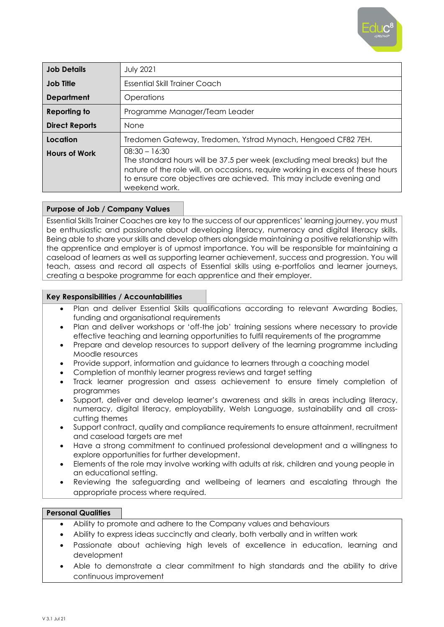

| <b>Job Details</b>    | <b>July 2021</b>                                                                                                                                                                                                                                                        |
|-----------------------|-------------------------------------------------------------------------------------------------------------------------------------------------------------------------------------------------------------------------------------------------------------------------|
| <b>Job Title</b>      | Essential Skill Trainer Coach                                                                                                                                                                                                                                           |
| <b>Department</b>     | Operations                                                                                                                                                                                                                                                              |
| <b>Reporting to</b>   | Programme Manager/Team Leader                                                                                                                                                                                                                                           |
| <b>Direct Reports</b> | <b>None</b>                                                                                                                                                                                                                                                             |
| Location              | Tredomen Gateway, Tredomen, Ystrad Mynach, Hengoed CF82 7EH.                                                                                                                                                                                                            |
| <b>Hours of Work</b>  | $08:30 - 16:30$<br>The standard hours will be 37.5 per week (excluding meal breaks) but the<br>nature of the role will, on occasions, require working in excess of these hours<br>to ensure core objectives are achieved. This may include evening and<br>weekend work. |

# **Purpose of Job / Company Values**

Essential Skills Trainer Coaches are key to the success of our apprentices' learning journey, you must be enthusiastic and passionate about developing literacy, numeracy and digital literacy skills. Being able to share your skills and develop others alongside maintaining a positive relationship with the apprentice and employer is of upmost importance. You will be responsible for maintaining a caseload of learners as well as supporting learner achievement, success and progression. You will teach, assess and record all aspects of Essential skills using e-portfolios and learner journeys, creating a bespoke programme for each apprentice and their employer.

### **Key Responsibilities / Accountabilities**

- Plan and deliver Essential Skills qualifications according to relevant Awarding Bodies, funding and organisational requirements
- Plan and deliver workshops or 'off-the job' training sessions where necessary to provide effective teaching and learning opportunities to fulfil requirements of the programme
- Prepare and develop resources to support delivery of the learning programme including Moodle resources
- Provide support, information and guidance to learners through a coaching model
- Completion of monthly learner progress reviews and target setting
- Track learner progression and assess achievement to ensure timely completion of programmes
- Support, deliver and develop learner's awareness and skills in areas including literacy, numeracy, digital literacy, employability, Welsh Language, sustainability and all crosscutting themes
- Support contract, quality and compliance requirements to ensure attainment, recruitment and caseload targets are met
- Have a strong commitment to continued professional development and a willingness to explore opportunities for further development.
- Elements of the role may involve working with adults at risk, children and young people in an educational setting.
- Reviewing the safeguarding and wellbeing of learners and escalating through the appropriate process where required.

### **Personal Qualities**

- Ability to promote and adhere to the Company values and behaviours
- Ability to express ideas succinctly and clearly, both verbally and in written work
- Passionate about achieving high levels of excellence in education, learning and development
- Able to demonstrate a clear commitment to high standards and the ability to drive continuous improvement